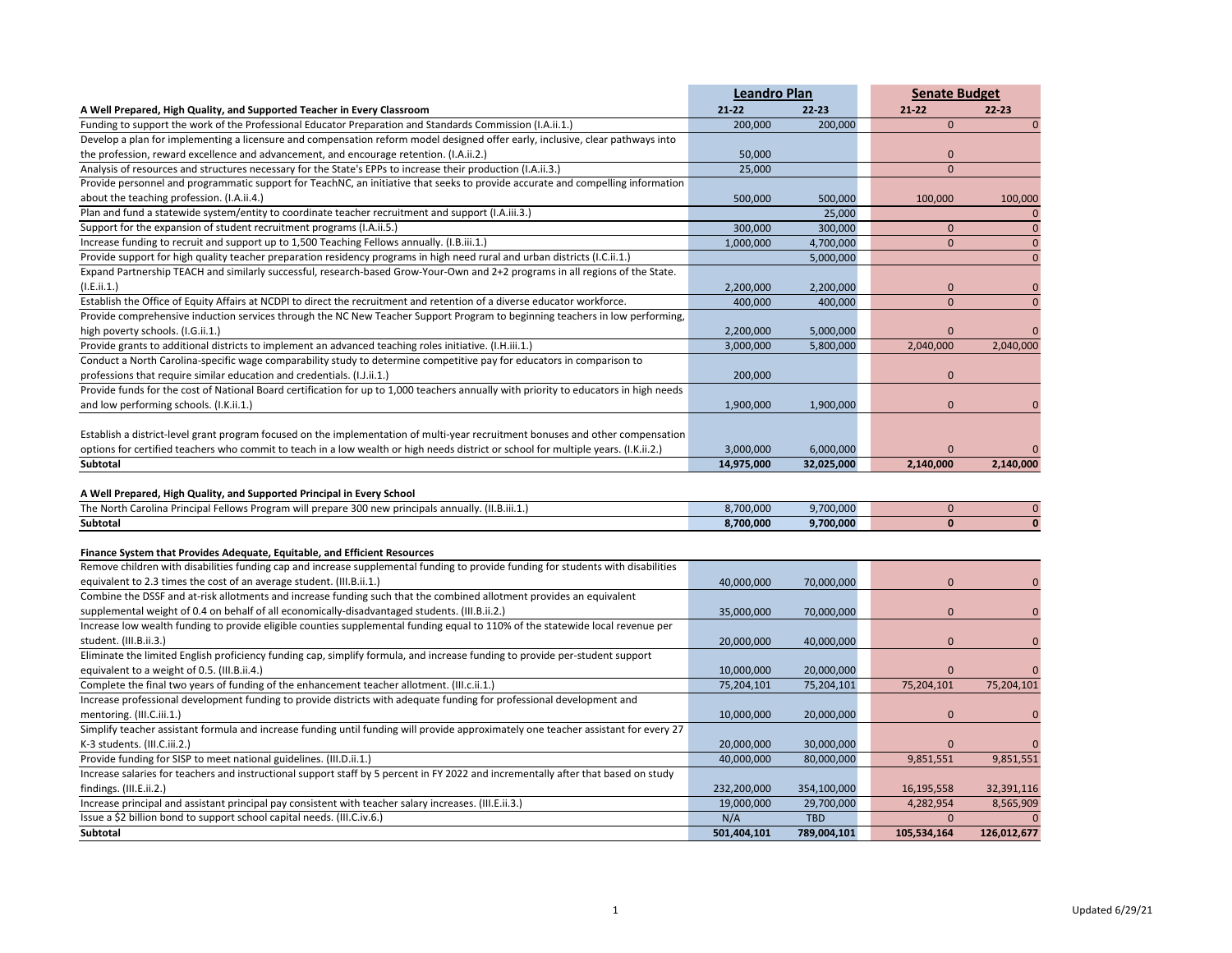|                                                                                                                                                        |            | <b>Leandro Plan</b><br><b>Senate Budget</b> |              |           |  |
|--------------------------------------------------------------------------------------------------------------------------------------------------------|------------|---------------------------------------------|--------------|-----------|--|
| A Well Prepared, High Quality, and Supported Teacher in Every Classroom                                                                                | $21 - 22$  | $22 - 23$                                   | $21 - 22$    | $22 - 23$ |  |
| Funding to support the work of the Professional Educator Preparation and Standards Commission (I.A.ii.1.)                                              | 200,000    | 200,000                                     | $\mathbf{0}$ |           |  |
| Develop a plan for implementing a licensure and compensation reform model designed offer early, inclusive, clear pathways into                         |            |                                             |              |           |  |
| the profession, reward excellence and advancement, and encourage retention. (I.A.ii.2.)                                                                | 50,000     |                                             | $\mathbf{0}$ |           |  |
| Analysis of resources and structures necessary for the State's EPPs to increase their production (I.A.ii.3.)                                           | 25,000     |                                             | $\mathbf{0}$ |           |  |
| Provide personnel and programmatic support for TeachNC, an initiative that seeks to provide accurate and compelling information                        |            |                                             |              |           |  |
| about the teaching profession. (I.A.ii.4.)                                                                                                             | 500,000    | 500,000                                     | 100.000      | 100,000   |  |
| Plan and fund a statewide system/entity to coordinate teacher recruitment and support (I.A.iii.3.)                                                     |            | 25,000                                      |              |           |  |
| Support for the expansion of student recruitment programs (I.A.ii.5.)                                                                                  | 300,000    | 300,000                                     | $\Omega$     | $\Omega$  |  |
| Increase funding to recruit and support up to 1,500 Teaching Fellows annually. (I.B.iii.1.)                                                            | 1,000,000  | 4,700,000                                   | $\Omega$     | $\Omega$  |  |
| Provide support for high quality teacher preparation residency programs in high need rural and urban districts (I.C.ii.1.)                             |            | 5,000,000                                   |              | $\Omega$  |  |
| Expand Partnership TEACH and similarly successful, research-based Grow-Your-Own and 2+2 programs in all regions of the State.                          |            |                                             |              |           |  |
| (I.E.ii.1.)                                                                                                                                            | 2,200,000  | 2,200,000                                   | $\mathbf{0}$ |           |  |
| Establish the Office of Equity Affairs at NCDPI to direct the recruitment and retention of a diverse educator workforce.                               | 400,000    | 400,000                                     | $\mathbf{0}$ | $\Omega$  |  |
| Provide comprehensive induction services through the NC New Teacher Support Program to beginning teachers in low performing,                           |            |                                             |              |           |  |
| high poverty schools. (I.G.ii.1.)                                                                                                                      | 2,200,000  | 5,000,000                                   | $\Omega$     |           |  |
| Provide grants to additional districts to implement an advanced teaching roles initiative. (I.H.iii.1.)                                                | 3,000,000  | 5,800,000                                   | 2,040,000    | 2,040,000 |  |
| Conduct a North Carolina-specific wage comparability study to determine competitive pay for educators in comparison to                                 |            |                                             |              |           |  |
| professions that require similar education and credentials. (I.J.ii.1.)                                                                                | 200,000    |                                             | $\Omega$     |           |  |
| Provide funds for the cost of National Board certification for up to 1,000 teachers annually with priority to educators in high needs                  |            |                                             |              |           |  |
| and low performing schools. (I.K.ii.1.)                                                                                                                | 1,900,000  | 1,900,000                                   | 0            |           |  |
|                                                                                                                                                        |            |                                             |              |           |  |
| Establish a district-level grant program focused on the implementation of multi-year recruitment bonuses and other compensation                        |            |                                             |              |           |  |
| options for certified teachers who commit to teach in a low wealth or high needs district or school for multiple years. (I.K.ii.2.)<br><b>Subtotal</b> | 3,000,000  | 6,000,000                                   | 0            | 2,140,000 |  |
|                                                                                                                                                        | 14,975,000 | 32,025,000                                  | 2,140,000    |           |  |

## **A Well Prepared, High Quality, and Supported Principal in Every School**

| The North<br>e 300 new principals annually. I<br>(II.B.iii.1.<br>`arolina Principal .<br>l Fellows Program will prepare : | 8,700,000 | 9,700,000 |  |
|---------------------------------------------------------------------------------------------------------------------------|-----------|-----------|--|
| Subtotal                                                                                                                  | 8,700,000 | 9,700,000 |  |

## **Finance System that Provides Adequate, Equitable, and Efficient Resources**

| Remove children with disabilities funding cap and increase supplemental funding to provide funding for students with disabilities   |             |             |              |             |
|-------------------------------------------------------------------------------------------------------------------------------------|-------------|-------------|--------------|-------------|
| equivalent to 2.3 times the cost of an average student. (III.B.ii.1.)                                                               | 40,000,000  | 70,000,000  | $\mathbf{0}$ |             |
| Combine the DSSF and at-risk allotments and increase funding such that the combined allotment provides an equivalent                |             |             |              |             |
| supplemental weight of 0.4 on behalf of all economically-disadvantaged students. (III.B.ii.2.)                                      | 35,000,000  | 70,000,000  | $\mathbf{0}$ |             |
| Increase low wealth funding to provide eligible counties supplemental funding equal to 110% of the statewide local revenue per      |             |             |              |             |
| student. (III.B.ii.3.)                                                                                                              | 20,000,000  | 40,000,000  | $\mathbf{0}$ |             |
| Eliminate the limited English proficiency funding cap, simplify formula, and increase funding to provide per-student support        |             |             |              |             |
| equivalent to a weight of 0.5. (III.B.ii.4.)                                                                                        | 10,000,000  | 20,000,000  |              |             |
| Complete the final two years of funding of the enhancement teacher allotment. (III.c.ii.1.)                                         | 75,204,101  | 75,204,101  | 75,204,101   | 75,204,101  |
| Increase professional development funding to provide districts with adequate funding for professional development and               |             |             |              |             |
| mentoring. (III.C.iii.1.)                                                                                                           | 10,000,000  | 20,000,000  | $\Omega$     | 0           |
| Simplify teacher assistant formula and increase funding until funding will provide approximately one teacher assistant for every 27 |             |             |              |             |
| K-3 students. (III.C.iii.2.)                                                                                                        | 20,000,000  | 30,000,000  | $\Omega$     |             |
| Provide funding for SISP to meet national guidelines. (III.D.ii.1.)                                                                 | 40,000,000  | 80,000,000  | 9,851,551    | 9,851,551   |
| Increase salaries for teachers and instructional support staff by 5 percent in FY 2022 and incrementally after that based on study  |             |             |              |             |
| findings. (III.E.ii.2.)                                                                                                             | 232,200,000 | 354,100,000 | 16,195,558   | 32,391,116  |
| Increase principal and assistant principal pay consistent with teacher salary increases. (III.E.ii.3.)                              | 19,000,000  | 29,700,000  | 4,282,954    | 8,565,909   |
| Issue a \$2 billion bond to support school capital needs. (III.C.iv.6.)                                                             | N/A         | <b>TBD</b>  |              |             |
| Subtotal                                                                                                                            | 501,404,101 | 789,004,101 | 105,534,164  | 126,012,677 |